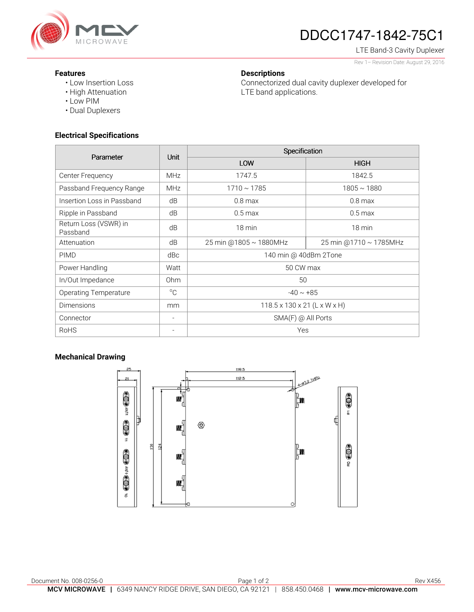

# DDCC1747-1842-75C1

Connectorized dual cavity duplexer developed for

LTE Band-3 Cavity Duplexer Rev 1– Revision Date: August 29, 2016

#### **Features**

- Low Insertion Loss
- High Attenuation
- Low PIM
- Dual Duplexers

## **Electrical Specifications**

| Parameter                         | <b>Unit</b>     | Specification                            |                        |
|-----------------------------------|-----------------|------------------------------------------|------------------------|
|                                   |                 | LOW                                      | <b>HIGH</b>            |
| Center Frequency                  | <b>MHz</b>      | 1747.5                                   | 1842.5                 |
| Passband Frequency Range          | <b>MHz</b>      | $1710 \sim 1785$                         | $1805 \sim 1880$       |
| Insertion Loss in Passband        | dB              | $0.8$ max                                | $0.8$ max              |
| Ripple in Passband                | dB              | $0.5 \text{ max}$                        | $0.5 \,\mathrm{max}$   |
| Return Loss (VSWR) in<br>Passband | dB              | 18 min                                   | 18 min                 |
| Attenuation                       | dB              | 25 min @1805 ~ 1880MHz                   | 25 min @1710 ~ 1785MHz |
| <b>PIMD</b>                       | dBc             | 140 min @ 40dBm 2Tone                    |                        |
| Power Handling                    | Watt            | 50 CW max                                |                        |
| In/Out Impedance                  | 0 <sub>hm</sub> | 50                                       |                        |
| <b>Operating Temperature</b>      | $^{\circ}C$     | $-40 \sim +85$                           |                        |
| <b>Dimensions</b>                 | mm              | $118.5 \times 130 \times 21$ (L x W x H) |                        |
| Connector                         |                 | $SMA(F)$ @ All Ports                     |                        |
| <b>RoHS</b>                       |                 | Yes                                      |                        |

**Descriptions** 

LTE band applications.

## **Mechanical Drawing**